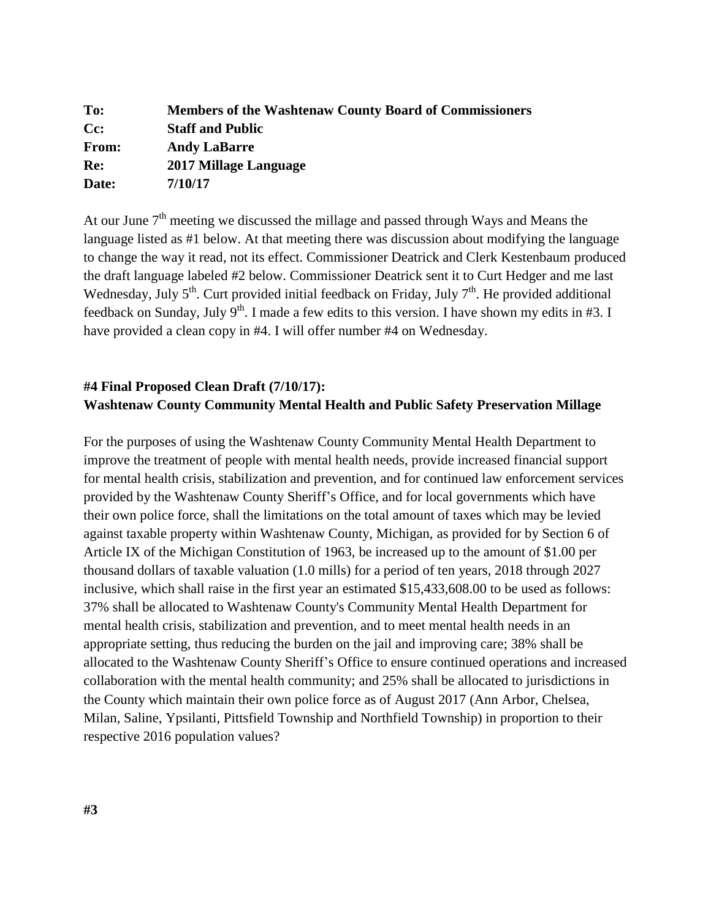| To:                | <b>Members of the Washtenaw County Board of Commissioners</b> |
|--------------------|---------------------------------------------------------------|
| $C_{\mathbb{C}}$ : | <b>Staff and Public</b>                                       |
| From:              | <b>Andy LaBarre</b>                                           |
| Re:                | 2017 Millage Language                                         |
| Date:              | 7/10/17                                                       |
|                    |                                                               |

At our June  $7<sup>th</sup>$  meeting we discussed the millage and passed through Ways and Means the language listed as #1 below. At that meeting there was discussion about modifying the language to change the way it read, not its effect. Commissioner Deatrick and Clerk Kestenbaum produced the draft language labeled #2 below. Commissioner Deatrick sent it to Curt Hedger and me last Wednesday, July  $5<sup>th</sup>$ . Curt provided initial feedback on Friday, July  $7<sup>th</sup>$ . He provided additional feedback on Sunday, July 9<sup>th</sup>. I made a few edits to this version. I have shown my edits in #3. I have provided a clean copy in #4. I will offer number #4 on Wednesday.

# **#4 Final Proposed Clean Draft (7/10/17): Washtenaw County Community Mental Health and Public Safety Preservation Millage**

For the purposes of using the Washtenaw County Community Mental Health Department to improve the treatment of people with mental health needs, provide increased financial support for mental health crisis, stabilization and prevention, and for continued law enforcement services provided by the Washtenaw County Sheriff's Office, and for local governments which have their own police force, shall the limitations on the total amount of taxes which may be levied against taxable property within Washtenaw County, Michigan, as provided for by Section 6 of Article IX of the Michigan Constitution of 1963, be increased up to the amount of \$1.00 per thousand dollars of taxable valuation (1.0 mills) for a period of ten years, 2018 through 2027 inclusive, which shall raise in the first year an estimated \$15,433,608.00 to be used as follows: 37% shall be allocated to Washtenaw County's Community Mental Health Department for mental health crisis, stabilization and prevention, and to meet mental health needs in an appropriate setting, thus reducing the burden on the jail and improving care; 38% shall be allocated to the Washtenaw County Sheriff's Office to ensure continued operations and increased collaboration with the mental health community; and 25% shall be allocated to jurisdictions in the County which maintain their own police force as of August 2017 (Ann Arbor, Chelsea, Milan, Saline, Ypsilanti, Pittsfield Township and Northfield Township) in proportion to their respective 2016 population values?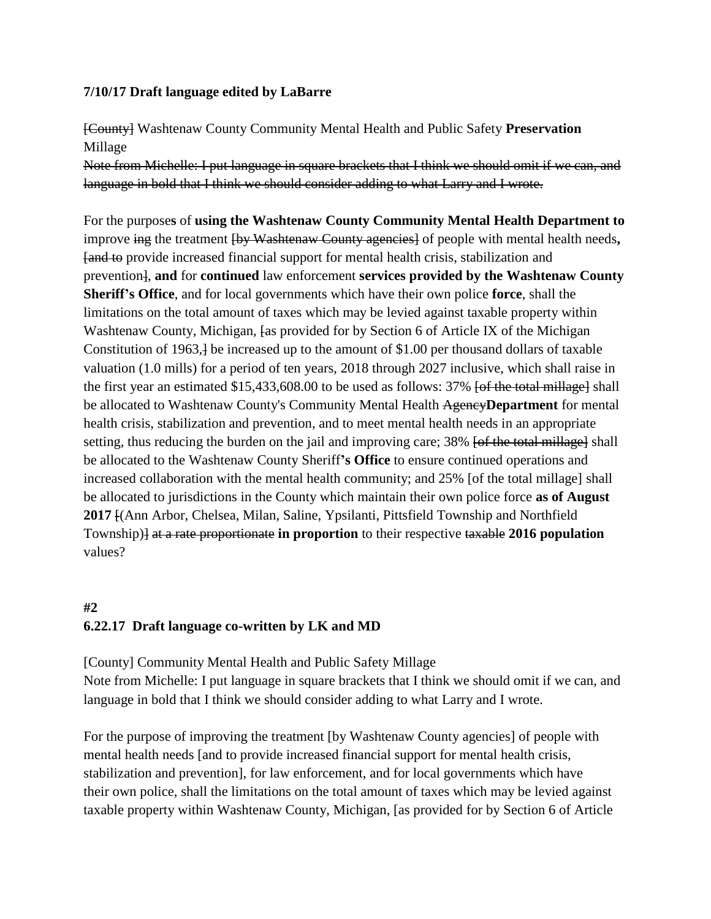### **7/10/17 Draft language edited by LaBarre**

[County] Washtenaw County Community Mental Health and Public Safety **Preservation**  Millage

Note from Michelle: I put language in square brackets that I think we should omit if we can, and language in bold that I think we should consider adding to what Larry and I wrote.

For the purpose**s** of **using the Washtenaw County Community Mental Health Department to**  improve ing the treatment [by Washtenaw County agencies] of people with mental health needs**,** [and to provide increased financial support for mental health crisis, stabilization and prevention], **and** for **continued** law enforcement **services provided by the Washtenaw County Sheriff's Office**, and for local governments which have their own police **force**, shall the limitations on the total amount of taxes which may be levied against taxable property within Washtenaw County, Michigan, [as provided for by Section 6 of Article IX of the Michigan Constitution of 1963,] be increased up to the amount of \$1.00 per thousand dollars of taxable valuation (1.0 mills) for a period of ten years, 2018 through 2027 inclusive, which shall raise in the first year an estimated \$15,433,608.00 to be used as follows: 37% <del>[of the total millage]</del> shall be allocated to Washtenaw County's Community Mental Health Agency**Department** for mental health crisis, stabilization and prevention, and to meet mental health needs in an appropriate setting, thus reducing the burden on the jail and improving care; 38% [of the total millage] shall be allocated to the Washtenaw County Sheriff**'s Office** to ensure continued operations and increased collaboration with the mental health community; and 25% [of the total millage] shall be allocated to jurisdictions in the County which maintain their own police force **as of August 2017** [(Ann Arbor, Chelsea, Milan, Saline, Ypsilanti, Pittsfield Township and Northfield Township)] at a rate proportionate **in proportion** to their respective taxable **2016 population** values?

# **#2 6.22.17 Draft language co-written by LK and MD**

[County] Community Mental Health and Public Safety Millage Note from Michelle: I put language in square brackets that I think we should omit if we can, and language in bold that I think we should consider adding to what Larry and I wrote.

For the purpose of improving the treatment [by Washtenaw County agencies] of people with mental health needs [and to provide increased financial support for mental health crisis, stabilization and prevention], for law enforcement, and for local governments which have their own police, shall the limitations on the total amount of taxes which may be levied against taxable property within Washtenaw County, Michigan, [as provided for by Section 6 of Article